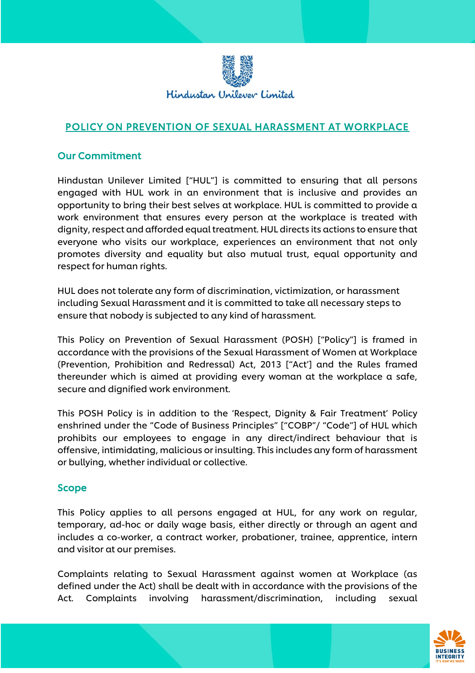

# POLICY ON PREVENTION OF SEXUAL HARASSMENT AT WORKPLACE

#### Our Commitment

Hindustan Unilever Limited ["HUL"] is committed to ensuring that all persons engaged with HUL work in an environment that is inclusive and provides an opportunity to bring their best selves at workplace. HUL is committed to provide a work environment that ensures every person at the workplace is treated with dignity, respect and afforded equal treatment. HUL directs its actions to ensure that everyone who visits our workplace, experiences an environment that not only promotes diversity and equality but also mutual trust, equal opportunity and respect for human rights.

HUL does not tolerate any form of discrimination, victimization, or harassment including Sexual Harassment and it is committed to take all necessary steps to ensure that nobody is subjected to any kind of harassment.

This Policy on Prevention of Sexual Harassment (POSH) ["Policy"] is framed in accordance with the provisions of the Sexual Harassment of Women at Workplace (Prevention, Prohibition and Redressal) Act, 2013 ["Act'] and the Rules framed thereunder which is aimed at providing every woman at the workplace a safe, secure and dignified work environment.

This POSH Policy is in addition to the 'Respect, Dignity & Fair Treatment' Policy enshrined under the "Code of Business Principles" ["COBP"/ "Code"] of HUL which prohibits our employees to engage in any direct/indirect behaviour that is offensive, intimidating, malicious or insulting. This includes any form of harassment or bullying, whether individual or collective.

#### Scope

This Policy applies to all persons engaged at HUL, for any work on regular, temporary, ad-hoc or daily wage basis, either directly or through an agent and includes a co-worker, a contract worker, probationer, trainee, apprentice, intern and visitor at our premises.

Complaints relating to Sexual Harassment against women at Workplace (as defined under the Act) shall be dealt with in accordance with the provisions of the Act. Complaints involving harassment/discrimination, including sexual

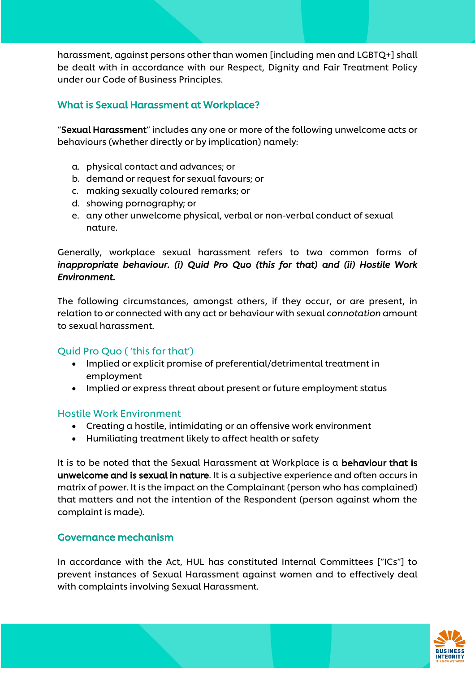harassment, against persons other than women [including men and LGBTQ+] shall be dealt with in accordance with our Respect, Dignity and Fair Treatment Policy under our Code of Business Principles.

# What is Sexual Harassment at Workplace?

"Sexual Harassment" includes any one or more of the following unwelcome acts or behaviours (whether directly or by implication) namely:

- a. physical contact and advances; or
- b. demand or request for sexual favours; or
- c. making sexually coloured remarks; or
- d. showing pornography; or
- e. any other unwelcome physical, verbal or non-verbal conduct of sexual nature.

Generally, workplace sexual harassment refers to two common forms of *inappropriate behaviour. (i) Quid Pro Quo (this for that) and (ii) Hostile Work Environment.* 

The following circumstances, amongst others, if they occur, or are present, in relation to or connected with any act or behaviour with sexual *connotation* amount to sexual harassment.

### Quid Pro Quo ( 'this for that')

- Implied or explicit promise of preferential/detrimental treatment in employment
- Implied or express threat about present or future employment status

### Hostile Work Environment

- Creating a hostile, intimidating or an offensive work environment
- Humiliating treatment likely to affect health or safety

It is to be noted that the Sexual Harassment at Workplace is a behaviour that is unwelcome and is sexual in nature. It is a subjective experience and often occurs in matrix of power. It is the impact on the Complainant (person who has complained) that matters and not the intention of the Respondent (person against whom the complaint is made).

### Governance mechanism

In accordance with the Act, HUL has constituted Internal Committees ["ICs"] to prevent instances of Sexual Harassment against women and to effectively deal with complaints involving Sexual Harassment.

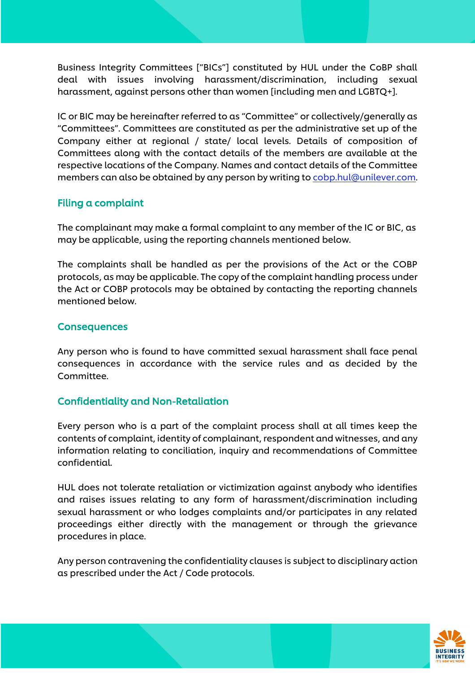Business Integrity Committees ["BICs"] constituted by HUL under the CoBP shall deal with issues involving harassment/discrimination, including sexual harassment, against persons other than women [including men and LGBTQ+].

IC or BIC may be hereinafter referred to as "Committee" or collectively/generally as "Committees". Committees are constituted as per the administrative set up of the Company either at regional / state/ local levels. Details of composition of Committees along with the contact details of the members are available at the respective locations of the Company. Names and contact details of the Committee members can also be obtained by any person by writing to [cobp.hul@unilever.com.](mailto:cobp.hul@unilever.com)

### Filing a complaint

The complainant may make a formal complaint to any member of the IC or BIC, as may be applicable, using the reporting channels mentioned below.

The complaints shall be handled as per the provisions of the Act or the COBP protocols, as may be applicable. The copy of the complaint handling process under the Act or COBP protocols may be obtained by contacting the reporting channels mentioned below.

### **Consequences**

Any person who is found to have committed sexual harassment shall face penal consequences in accordance with the service rules and as decided by the Committee.

## Confidentiality and Non-Retaliation

Every person who is a part of the complaint process shall at all times keep the contents of complaint, identity of complainant, respondent and witnesses, and any information relating to conciliation, inquiry and recommendations of Committee confidential.

HUL does not tolerate retaliation or victimization against anybody who identifies and raises issues relating to any form of harassment/discrimination including sexual harassment or who lodges complaints and/or participates in any related proceedings either directly with the management or through the grievance procedures in place.

Any person contravening the confidentiality clauses is subject to disciplinary action as prescribed under the Act / Code protocols.